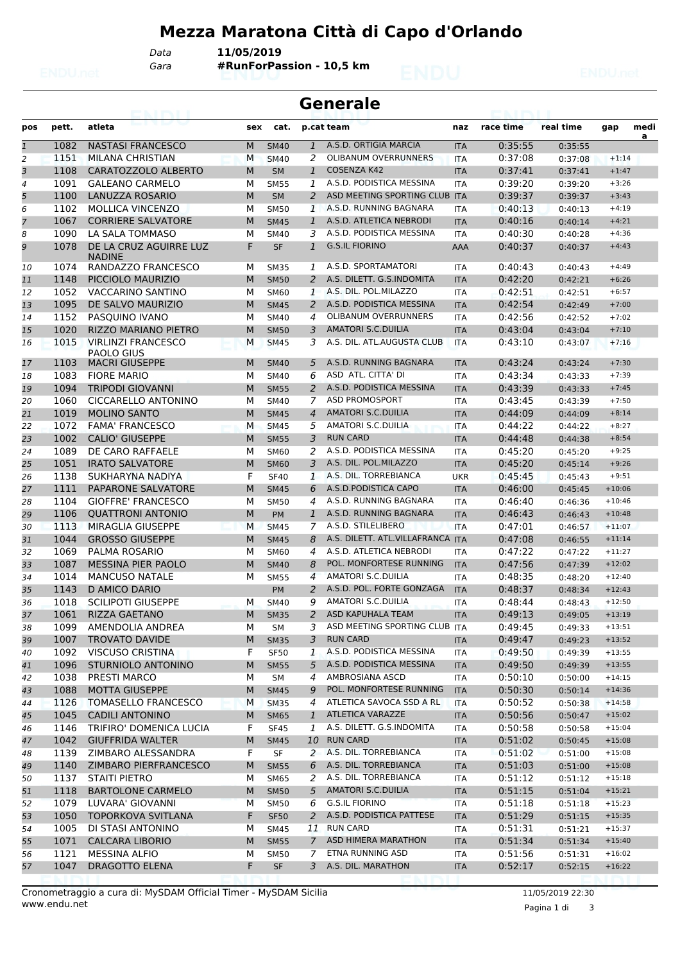## **Mezza Maratona Città di Capo d'Orlando**

*Data* **11/05/2019**

*Gara* **#RunForPassion - 10,5 km**

| <b>Generale</b><br>za Linki |              |                                                      |        |                            |                |                                                  |            |                    |                    |                      |           |
|-----------------------------|--------------|------------------------------------------------------|--------|----------------------------|----------------|--------------------------------------------------|------------|--------------------|--------------------|----------------------|-----------|
| pos                         | pett.        | atleta                                               | sex    | cat.                       |                | p.cat team                                       | naz        | race time          | real time          | gap                  | medi<br>a |
| $\overline{1}$              | 1082         | <b>NASTASI FRANCESCO</b>                             | M      | <b>SM40</b>                | $\mathbf{1}$   | A.S.D. ORTIGIA MARCIA                            | <b>ITA</b> | 0:35:55            | 0:35:55            |                      |           |
| 2                           | 1151         | MILANA CHRISTIAN                                     | M      | <b>SM40</b>                | 2              | <b>OLIBANUM OVERRUNNERS</b>                      | <b>ITA</b> | 0:37:08            | 0:37:08            | $+1:14$              |           |
| 3                           | 1108         | CARATOZZOLO ALBERTO                                  | M      | <b>SM</b>                  | $\mathbf{1}$   | COSENZA K42                                      | <b>ITA</b> | 0:37:41            | 0:37:41            | $+1:47$              |           |
| $\overline{4}$              | 1091         | <b>GALEANO CARMELO</b>                               | м      | <b>SM55</b>                | 1              | A.S.D. PODISTICA MESSINA                         | <b>ITA</b> | 0:39:20            | 0:39:20            | $+3:26$              |           |
| 5                           | 1100         | LANUZZA ROSARIO                                      | M      | <b>SM</b>                  | 2              | ASD MEETING SPORTING CLUB ITA                    |            | 0:39:37            | 0:39:37            | $+3:43$              |           |
| 6                           | 1102         | <b>MOLLICA VINCENZO</b>                              | М      | <b>SM50</b>                | 1              | A.S.D. RUNNING BAGNARA                           | <b>ITA</b> | 0:40:13            | 0:40:13            | $+4:19$              |           |
| $\overline{7}$              | 1067         | <b>CORRIERE SALVATORE</b>                            | M      | <b>SM45</b>                | $\mathbf{1}$   | A.S.D. ATLETICA NEBRODI                          | <b>ITA</b> | 0:40:16            | 0:40:14            | $+4:21$              |           |
| 8                           | 1090         | LA SALA TOMMASO                                      | М      | <b>SM40</b>                | 3              | A.S.D. PODISTICA MESSINA                         | <b>ITA</b> | 0:40:30            | 0:40:28            | $+4:36$              |           |
| 9                           | 1078         | DE LA CRUZ AGUIRRE LUZ<br><b>NADINE</b>              | F      | <b>SF</b>                  | 1              | <b>G.S.IL FIORINO</b>                            | AAA        | 0:40:37            | 0:40:37            | $+4:43$              |           |
| 10                          | 1074         | RANDAZZO FRANCESCO                                   | М      | <b>SM35</b>                | 1              | A.S.D. SPORTAMATORI                              | <b>ITA</b> | 0:40:43            | 0:40:43            | $+4:49$              |           |
| 11                          | 1148         | PICCIOLO MAURIZIO                                    | M      | <b>SM50</b>                | 2              | A.S. DILETT. G.S.INDOMITA                        | <b>ITA</b> | 0:42:20            | 0:42:21            | $+6:26$              |           |
| 12                          | 1052         | VACCARINO SANTINO                                    | м      | <b>SM60</b>                | 1              | A.S. DIL. POL.MILAZZO                            | <b>ITA</b> | 0:42:51            | 0:42:51            | $+6:57$              |           |
| 13                          | 1095         | DE SALVO MAURIZIO                                    | M      | <b>SM45</b>                | 2              | A.S.D. PODISTICA MESSINA                         | <b>ITA</b> | 0:42:54            | 0:42:49            | $+7:00$              |           |
| 14                          | 1152         | PASQUINO IVANO                                       | M      | <b>SM40</b>                | $\overline{4}$ | <b>OLIBANUM OVERRUNNERS</b>                      | <b>ITA</b> | 0:42:56            | 0:42:52            | $+7:02$              |           |
| 15                          | 1020         | <b>RIZZO MARIANO PIETRO</b>                          | М      | <b>SM50</b>                | 3              | <b>AMATORI S.C.DUILIA</b>                        | <b>ITA</b> | 0:43:04            | 0:43:04            | $+7:10$              |           |
| 16                          | 1015         | <b>VIRLINZI FRANCESCO</b><br><b>PAOLO GIUS</b>       | М      | <b>SM45</b>                | 3              | A.S. DIL. ATL.AUGUSTA CLUB                       | <b>ITA</b> | 0:43:10            | 0:43:07            | $+7:16$              |           |
| 17                          | 1103         | <b>MACRI GIUSEPPE</b>                                | M      | <b>SM40</b>                | 5              | A.S.D. RUNNING BAGNARA                           | <b>ITA</b> | 0:43:24            | 0:43:24            | $+7:30$              |           |
| 18                          | 1083         | <b>FIORE MARIO</b>                                   | м      | <b>SM40</b>                | 6              | ASD ATL. CITTA' DI                               | <b>ITA</b> | 0:43:34            | 0:43:33            | $+7:39$              |           |
| 19                          | 1094         | <b>TRIPODI GIOVANNI</b>                              | М      | <b>SM55</b>                | 2              | A.S.D. PODISTICA MESSINA                         | <b>ITA</b> | 0:43:39            | 0:43:33            | $+7:45$              |           |
| 20                          | 1060         | CICCARELLO ANTONINO                                  | М      | <b>SM40</b>                | 7              | <b>ASD PROMOSPORT</b>                            | <b>ITA</b> | 0:43:45            | 0:43:39            | $+7:50$              |           |
| 21                          | 1019         | <b>MOLINO SANTO</b>                                  | M      | <b>SM45</b>                | $\overline{4}$ | <b>AMATORI S.C.DUILIA</b>                        | <b>ITA</b> | 0:44:09            | 0:44:09            | $+8:14$              |           |
| 22                          | 1072         | <b>FAMA' FRANCESCO</b>                               | M      | <b>SM45</b>                | 5              | <b>AMATORI S.C.DUILIA</b>                        | <b>ITA</b> | 0:44:22            | 0:44:22            | $+8:27$              |           |
| 23                          | 1002         | <b>CALIO' GIUSEPPE</b>                               | M      | <b>SM55</b>                | 3              | <b>RUN CARD</b>                                  | <b>ITA</b> | 0:44:48            | 0:44:38            | $+8:54$              |           |
| 24                          | 1089         | DE CARO RAFFAELE                                     | М      | <b>SM60</b>                | 2              | A.S.D. PODISTICA MESSINA                         | <b>ITA</b> | 0:45:20            | 0:45:20            | $+9:25$              |           |
| 25                          | 1051         | <b>IRATO SALVATORE</b>                               | М      | <b>SM60</b>                | 3              | A.S. DIL. POL.MILAZZO                            | <b>ITA</b> | 0:45:20            | 0:45:14            | $+9:26$              |           |
| 26                          | 1138         | SUKHARYNA NADIYA                                     | F      | <b>SF40</b>                | 1              | A.S. DIL. TORREBIANCA                            | <b>UKR</b> | 0:45:45            | 0:45:43            | $+9:51$              |           |
| 27                          | 1111         | <b>PAPARONE SALVATORE</b>                            | M      | <b>SM45</b>                | 6              | A.S.D. PODISTICA CAPO                            | <b>ITA</b> | 0:46:00            | 0:45:45            | $+10:06$             |           |
| 28                          | 1104         | <b>GIOFFRE' FRANCESCO</b>                            | м      | <b>SM50</b>                | 4              | A.S.D. RUNNING BAGNARA<br>A.S.D. RUNNING BAGNARA | <b>ITA</b> | 0:46:40            | 0:46:36            | $+10:46$             |           |
| 29                          | 1106<br>1113 | <b>QUATTRONI ANTONIO</b><br><b>MIRAGLIA GIUSEPPE</b> | M<br>M | <b>PM</b>                  | $\mathbf{1}$   | A.S.D. STILELIBERO                               | <b>ITA</b> | 0:46:43<br>0:47:01 | 0:46:43            | $+10:48$<br>$+11:07$ |           |
| 30                          | 1044         | <b>GROSSO GIUSEPPE</b>                               | М      | <b>SM45</b><br><b>SM45</b> | 7<br>8         | A.S. DILETT. ATL.VILLAFRANCA ITA                 | <b>ITA</b> |                    | 0:46:57            | $+11:14$             |           |
| 31<br>32                    | 1069         | PALMA ROSARIO                                        | м      | <b>SM60</b>                | $\overline{4}$ | A.S.D. ATLETICA NEBRODI                          | <b>ITA</b> | 0:47:08<br>0:47:22 | 0:46:55<br>0:47:22 | $+11:27$             |           |
| 33                          | 1087         | <b>MESSINA PIER PAOLO</b>                            | M      | <b>SM40</b>                | 8              | POL. MONFORTESE RUNNING                          | <b>ITA</b> | 0:47:56            | 0:47:39            | $+12:02$             |           |
| 34                          | 1014         | <b>MANCUSO NATALE</b>                                | м      | <b>SM55</b>                | $\overline{4}$ | <b>AMATORI S.C.DUILIA</b>                        | <b>ITA</b> | 0:48:35            | 0:48:20            | $+12:40$             |           |
| 35                          | 1143         | <b>D AMICO DARIO</b>                                 |        | <b>PM</b>                  | 2              | A.S.D. POL. FORTE GONZAGA                        | <b>ITA</b> | 0:48:37            | 0:48:34            | $+12:43$             |           |
| 36                          | 1018         | <b>SCILIPOTI GIUSEPPE</b>                            | м      | <b>SM40</b>                | 9              | AMATORI S.C.DUILIA                               | <b>ITA</b> | 0:48:44            | 0:48:43            | $+12:50$             |           |
| 37                          | 1061         | RIZZA GAETANO                                        | M      | <b>SM35</b>                | $2^{\circ}$    | ASD KAPUHALA TEAM                                | <b>ITA</b> | 0:49:13            | 0:49:05            | $+13:19$             |           |
| 38                          | 1099         | AMENDOLIA ANDREA                                     | М      | SМ                         | 3              | ASD MEETING SPORTING CLUB ITA                    |            | 0:49:45            | 0:49:33            | $+13:51$             |           |
| 39                          | 1007         | <b>TROVATO DAVIDE</b>                                | M      | <b>SM35</b>                | 3              | <b>RUN CARD</b>                                  | <b>ITA</b> | 0:49:47            | 0:49:23            | $+13:52$             |           |
| 40                          | 1092         | VISCUSO CRISTINA                                     | F      | <b>SF50</b>                | 1              | A.S.D. PODISTICA MESSINA                         | ITA        | 0:49:50            | 0:49:39            | $+13:55$             |           |
| 41                          | 1096         | STURNIOLO ANTONINO                                   | M      | <b>SM55</b>                | 5              | A.S.D. PODISTICA MESSINA                         | <b>ITA</b> | 0:49:50            | 0:49:39            | $+13:55$             |           |
| 42                          | 1038         | PRESTI MARCO                                         | М      | SM                         | 4              | AMBROSIANA ASCD                                  | ITA        | 0:50:10            | 0:50:00            | $+14:15$             |           |
| 43                          | 1088         | <b>MOTTA GIUSEPPE</b>                                | М      | <b>SM45</b>                | 9              | POL. MONFORTESE RUNNING                          | <b>ITA</b> | 0:50:30            | 0:50:14            | $+14:36$             |           |
| 44                          | 1126         | <b>TOMASELLO FRANCESCO</b>                           | м      | <b>SM35</b>                | 4              | ATLETICA SAVOCA SSD A RL                         | <b>ITA</b> | 0:50:52            | 0:50:38            | $+14:58$             |           |
| 45                          | 1045         | <b>CADILI ANTONINO</b>                               | M      | <b>SM65</b>                | $\mathbf{1}$   | <b>ATLETICA VARAZZE</b>                          | <b>ITA</b> | 0:50:56            | 0:50:47            | $+15:02$             |           |
| 46                          | 1146         | TRIFIRO' DOMENICA LUCIA                              | F      | <b>SF45</b>                | 1              | A.S. DILETT. G.S.INDOMITA                        | ITA        | 0:50:58            | 0:50:58            | $+15:04$             |           |
| 47                          | 1042         | <b>GIUFFRIDA WALTER</b>                              | M      | <b>SM45</b>                | 10             | <b>RUN CARD</b>                                  | <b>ITA</b> | 0:51:02            | 0:50:45            | $+15:08$             |           |
| 48                          | 1139         | ZIMBARO ALESSANDRA                                   | F      | SF                         |                | 2 A.S. DIL. TORREBIANCA                          | ITA        | 0:51:02            | 0:51:00            | $+15:08$             |           |
| 49                          | 1140         | ZIMBARO PIERFRANCESCO                                | M      | <b>SM55</b>                | 6              | A.S. DIL. TORREBIANCA                            | <b>ITA</b> | 0:51:03            | 0:51:00            | $+15:08$             |           |
| 50                          | 1137         | STAITI PIETRO                                        | М      | <b>SM65</b>                | 2              | A.S. DIL. TORREBIANCA                            | ITA        | 0:51:12            | 0:51:12            | $+15:18$             |           |
| 51                          | 1118         | <b>BARTOLONE CARMELO</b>                             | M      | <b>SM50</b>                | $5^{\circ}$    | <b>AMATORI S.C.DUILIA</b>                        | <b>ITA</b> | 0:51:15            | 0:51:04            | $+15:21$             |           |
| 52                          | 1079         | LUVARA' GIOVANNI                                     | М      | <b>SM50</b>                | 6              | <b>G.S.IL FIORINO</b>                            | ITA        | 0:51:18            | 0:51:18            | $+15:23$             |           |
| 53                          | 1050         | <b>TOPORKOVA SVITLANA</b>                            | F      | <b>SF50</b>                | 2              | A.S.D. PODISTICA PATTESE                         | <b>ITA</b> | 0:51:29            | 0:51:15            | $+15:35$             |           |
| 54                          | 1005         | DI STASI ANTONINO                                    | М      | <b>SM45</b>                | 11             | <b>RUN CARD</b>                                  | ITA        | 0:51:31            | 0:51:21            | $+15:37$             |           |
| 55                          | 1071         | <b>CALCARA LIBORIO</b>                               | М      | <b>SM55</b>                | $\mathcal{I}$  | ASD HIMERA MARATHON                              | <b>ITA</b> | 0:51:34            | 0:51:34            | $+15:40$             |           |
| 56                          | 1121         | <b>MESSINA ALFIO</b>                                 | М      | <b>SM50</b>                | 7              | ETNA RUNNING ASD                                 | ITA        | 0:51:56            | 0:51:31            | $+16:02$             |           |
| 57                          | 1047         | <b>DRAGOTTO ELENA</b>                                | F      | SF                         |                | 3 A.S. DIL. MARATHON                             | <b>ITA</b> | 0:52:17            | 0:52:15            | $+16:22$             |           |
|                             |              |                                                      |        |                            |                |                                                  |            |                    |                    |                      |           |

Pagina 1 di 3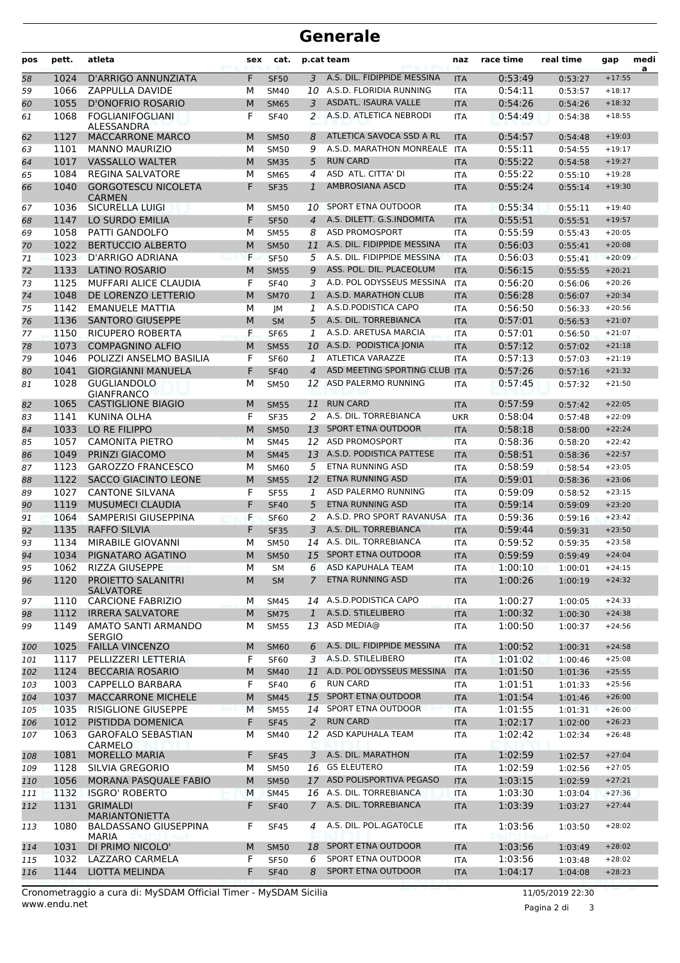## **Generale**

| pos      | pett.        | atleta                                       | sex    | cat.                   |                     | p.cat team                                     | naz                      | race time          | real time          | gap                  | medi<br>a |
|----------|--------------|----------------------------------------------|--------|------------------------|---------------------|------------------------------------------------|--------------------------|--------------------|--------------------|----------------------|-----------|
| 58       | 1024         | D'ARRIGO ANNUNZIATA                          | F      | <b>SF50</b>            | 3                   | A.S. DIL. FIDIPPIDE MESSINA                    | <b>ITA</b>               | 0:53:49            | 0:53:27            | $+17:55$             |           |
| 59       | 1066         | ZAPPULLA DAVIDE                              | М      | <b>SM40</b>            | 10                  | A.S.D. FLORIDIA RUNNING                        | <b>ITA</b>               | 0:54:11            | 0:53:57            | $+18:17$             |           |
| 60       | 1055         | <b>D'ONOFRIO ROSARIO</b>                     | M      | <b>SM65</b>            | 3                   | ASDATL. ISAURA VALLE                           | <b>ITA</b>               | 0:54:26            | 0:54:26            | $+18:32$             |           |
| 61       | 1068         | <b>FOGLIANIFOGLIANI</b><br>ALESSANDRA        | F      | <b>SF40</b>            | 2                   | A.S.D. ATLETICA NEBRODI                        | <b>ITA</b>               | 0:54:49            | 0:54:38            | $+18:55$             |           |
| 62       | 1127         | <b>MACCARRONE MARCO</b>                      | M      | <b>SM50</b>            | 8                   | ATLETICA SAVOCA SSD A RL                       | <b>ITA</b>               | 0:54:57            | 0:54:48            | $+19:03$             |           |
| 63       | 1101         | <b>MANNO MAURIZIO</b>                        | м      | <b>SM50</b>            | 9                   | A.S.D. MARATHON MONREALE                       | <b>ITA</b>               | 0:55:11            | 0:54:55            | $+19:17$             |           |
| 64       | 1017         | <b>VASSALLO WALTER</b>                       | M      | <b>SM35</b>            | 5                   | <b>RUN CARD</b>                                | <b>ITA</b>               | 0:55:22            | 0:54:58            | $+19:27$             |           |
| 65       | 1084         | <b>REGINA SALVATORE</b>                      | M      | <b>SM65</b>            | 4                   | ASD ATL. CITTA' DI                             | <b>ITA</b>               | 0:55:22            | 0:55:10            | $+19:28$             |           |
| 66       | 1040         | <b>GORGOTESCU NICOLETA</b><br><b>CARMEN</b>  | F      | <b>SF35</b>            | $\mathbf{1}$        | AMBROSIANA ASCD                                | <b>ITA</b>               | 0:55:24            | 0:55:14            | $+19:30$             |           |
| 67       | 1036         | SICURELLA LUIGI                              | м      | <b>SM50</b>            | 10                  | SPORT ETNA OUTDOOR                             | <b>ITA</b>               | 0:55:34            | 0:55:11            | $+19:40$             |           |
| 68       | 1147         | LO SURDO EMILIA                              | F      | <b>SF50</b>            | $\overline{4}$      | A.S. DILETT. G.S.INDOMITA                      | <b>ITA</b>               | 0:55:51            | 0:55:51            | $+19:57$             |           |
| 69       | 1058         | <b>PATTI GANDOLFO</b>                        | М      | <b>SM55</b>            | 8                   | <b>ASD PROMOSPORT</b>                          | <b>ITA</b>               | 0:55:59            | 0:55:43            | $+20:05$             |           |
| 70       | 1022         | <b>BERTUCCIO ALBERTO</b>                     | M      | <b>SM50</b>            | 11                  | A.S. DIL. FIDIPPIDE MESSINA                    | <b>ITA</b>               | 0:56:03            | 0:55:41            | $+20:08$             |           |
| 71       | 1023         | D'ARRIGO ADRIANA                             | F      | <b>SF50</b>            | 5                   | A.S. DIL. FIDIPPIDE MESSINA                    | <b>ITA</b>               | 0:56:03            | 0:55:41            | $+20:09$             |           |
| 72       | 1133         | <b>LATINO ROSARIO</b>                        | M      | <b>SM55</b>            | 9                   | ASS. POL. DIL. PLACEOLUM                       | <b>ITA</b>               | 0:56:15            | 0:55:55            | $+20:21$             |           |
| 73       | 1125         | MUFFARI ALICE CLAUDIA                        | F      | <b>SF40</b>            | 3                   | A.D. POL ODYSSEUS MESSINA                      | <b>ITA</b>               | 0:56:20            | 0:56:06            | $+20:26$             |           |
| 74       | 1048         | DE LORENZO LETTERIO                          | M      | <b>SM70</b>            | $\mathbf{1}$        | A.S.D. MARATHON CLUB                           | <b>ITA</b>               | 0:56:28            | 0:56:07            | $+20:34$             |           |
| 75       | 1142         | <b>EMANUELE MATTIA</b>                       | М      | JМ                     | 1                   | A.S.D. PODISTICA CAPO                          | <b>ITA</b>               | 0:56:50            | 0:56:33            | $+20:56$             |           |
| 76       | 1136         | <b>SANTORO GIUSEPPE</b>                      | M      | <b>SM</b>              | 5                   | A.S. DIL. TORREBIANCA                          | <b>ITA</b>               | 0:57:01            | 0:56:53            | $+21:07$             |           |
| 77       | 1150         | RICUPERO ROBERTA                             | F      | <b>SF65</b>            | 1                   | A.S.D. ARETUSA MARCIA                          | <b>ITA</b>               | 0:57:01            | 0:56:50            | $+21:07$             |           |
| 78       | 1073         | <b>COMPAGNINO ALFIO</b>                      | M      | <b>SM55</b>            | 10                  | A.S.D. PODISTICA JONIA                         | <b>ITA</b>               | 0:57:12            | 0:57:02            | $+21:18$             |           |
| 79       | 1046         | POLIZZI ANSELMO BASILIA                      | F      | <b>SF60</b>            | 1                   | ATLETICA VARAZZE                               | <b>ITA</b>               | 0:57:13            | 0:57:03            | $+21:19$             |           |
| 80       | 1041         | <b>GIORGIANNI MANUELA</b>                    | F      | <b>SF40</b>            | $\overline{4}$      | ASD MEETING SPORTING CLUB ITA                  |                          | 0:57:26            | 0:57:16            | $+21:32$             |           |
| 81       | 1028         | <b>GUGLIANDOLO</b><br><b>GIANFRANCO</b>      | М      | <b>SM50</b>            | 12                  | ASD PALERMO RUNNING                            | <b>ITA</b>               | 0:57:45            | 0:57:32            | $+21:50$             |           |
| 82       | 1065         | <b>CASTIGLIONE BIAGIO</b>                    | M      | <b>SM55</b>            | 11                  | <b>RUN CARD</b>                                | <b>ITA</b>               | 0:57:59            | 0:57:42            | $+22:05$             |           |
| 83       | 1141         | KUNINA OLHA                                  | F      | <b>SF35</b>            | 2                   | A.S. DIL. TORREBIANCA                          | <b>UKR</b>               | 0:58:04            | 0:57:48            | $+22:09$             |           |
| 84       | 1033         | LO RE FILIPPO                                | M      | <b>SM50</b>            | 13                  | <b>SPORT ETNA OUTDOOR</b>                      | <b>ITA</b>               | 0:58:18            | 0:58:00            | $+22:24$             |           |
| 85       | 1057         | <b>CAMONITA PIETRO</b>                       | M      | <b>SM45</b>            | 12                  | <b>ASD PROMOSPORT</b>                          | <b>ITA</b>               | 0:58:36            | 0:58:20            | $+22:42$             |           |
| 86       | 1049         | PRINZI GIACOMO                               | M      | <b>SM45</b>            | 13                  | A.S.D. PODISTICA PATTESE                       | <b>ITA</b>               | 0:58:51            | 0:58:36            | $+22:57$             |           |
| 87       | 1123         | <b>GAROZZO FRANCESCO</b>                     | М      | <b>SM60</b>            | 5                   | ETNA RUNNING ASD                               | <b>ITA</b>               | 0:58:59            | 0:58:54            | $+23:05$             |           |
| 88       | 1122         | <b>SACCO GIACINTO LEONE</b>                  | M      | <b>SM55</b>            | 12                  | <b>ETNA RUNNING ASD</b>                        | <b>ITA</b>               | 0:59:01            | 0:58:36            | $+23:06$             |           |
| 89       | 1027         | <b>CANTONE SILVANA</b>                       | F      | <b>SF55</b>            | 1                   | ASD PALERMO RUNNING                            | <b>ITA</b>               | 0:59:09            | 0:58:52            | $+23:15$             |           |
| 90       | 1119         | <b>MUSUMECI CLAUDIA</b>                      | F      | <b>SF40</b>            | 5                   | <b>ETNA RUNNING ASD</b>                        | <b>ITA</b>               | 0:59:14            | 0:59:09            | $+23:20$             |           |
| 91       | 1064         | SAMPERISI GIUSEPPINA                         | F      | <b>SF60</b>            | 2                   | A.S.D. PRO SPORT RAVANUSA                      | <b>ITA</b>               | 0:59:36            | 0:59:16            | $+23:42$             |           |
| 92       | 1135         | <b>RAFFO SILVIA</b>                          | F      | <b>SF35</b>            | 3                   | A.S. DIL. TORREBIANCA<br>A.S. DIL. TORREBIANCA | <b>ITA</b>               | 0:59:44            | 0:59:31            | $+23:50$<br>$+23:58$ |           |
| 93       | 1134         | MIRABILE GIOVANNI                            | М      | SM50                   | 14                  | 15 SPORT ETNA OUTDOOR                          | <b>ITA</b>               | 0:59:52            | 0:59:35            |                      |           |
| 94       | 1034         | PIGNATARO AGATINO<br>RIZZA GIUSEPPE          | M      | <b>SM50</b>            |                     | ASD KAPUHALA TEAM                              | <b>ITA</b>               | 0:59:59            | 0:59:49            | $+24:04$             |           |
| 95<br>96 | 1062<br>1120 | PROIETTO SALANITRI                           | М<br>M | <b>SM</b><br><b>SM</b> | 6<br>$\overline{7}$ | ETNA RUNNING ASD                               | <b>ITA</b><br><b>ITA</b> | 1:00:10<br>1:00:26 | 1:00:01<br>1:00:19 | $+24:15$<br>$+24:32$ |           |
| 97       | 1110         | <b>SALVATORE</b><br><b>CARCIONE FABRIZIO</b> | М      | SM45                   |                     | 14 A.S.D.PODISTICA CAPO                        | ITA                      | 1:00:27            | 1:00:05            | $+24:33$             |           |
| 98       | 1112         | <b>IRRERA SALVATORE</b>                      | M      | <b>SM75</b>            | $\mathbf{1}$        | A.S.D. STILELIBERO                             | <b>ITA</b>               | 1:00:32            | 1:00:30            | $+24:38$             |           |
| 99       | 1149         | AMATO SANTI ARMANDO<br><b>SERGIO</b>         | М      | <b>SM55</b>            |                     | 13 ASD MEDIA@                                  | <b>ITA</b>               | 1:00:50            | 1:00:37            | $+24:56$             |           |
| 100      | 1025         | <b>FAILLA VINCENZO</b>                       | M      | <b>SM60</b>            | 6                   | A.S. DIL. FIDIPPIDE MESSINA                    | <b>ITA</b>               | 1:00:52            | 1:00:31            | $+24:58$             |           |
| 101      | 1117         | PELLIZZERI LETTERIA                          | F      | <b>SF60</b>            |                     | 3 A.S.D. STILELIBERO                           | <b>ITA</b>               | 1:01:02            | 1:00:46            | $+25:08$             |           |
| 102      | 1124         | <b>BECCARIA ROSARIO</b>                      | M      | <b>SM40</b>            | 11                  | A.D. POL ODYSSEUS MESSINA                      | <b>ITA</b>               | 1:01:50            | 1:01:36            | $+25:55$             |           |
| 103      | 1003         | <b>CAPPELLO BARBARA</b>                      | F      | <b>SF40</b>            | 6                   | <b>RUN CARD</b>                                | ITA                      | 1:01:51            | 1:01:33            | $+25:56$             |           |
| 104      | 1037         | MACCARRONE MICHELE                           | M      | <b>SM45</b>            | 15                  | SPORT ETNA OUTDOOR                             | <b>ITA</b>               | 1:01:54            | 1:01:46            | $+26:00$             |           |
| 105      | 1035         | <b>RISIGLIONE GIUSEPPE</b>                   | M      | <b>SM55</b>            | 14                  | SPORT ETNA OUTDOOR                             | <b>ITA</b>               | 1:01:55            | 1:01:31            | $+26:00$             |           |
| 106      | 1012         | PISTIDDA DOMENICA                            | F      | <b>SF45</b>            | 2                   | <b>RUN CARD</b>                                | <b>ITA</b>               | 1:02:17            | 1:02:00            | $+26:23$             |           |
| 107      | 1063         | <b>GAROFALO SEBASTIAN</b>                    | М      | SM40                   | 12                  | ASD KAPUHALA TEAM                              | <b>ITA</b>               | 1:02:42            | 1:02:34            | $+26:48$             |           |
| 108      | 1081         | CARMELO<br><b>MORELLO MARIA</b>              | F      | <b>SF45</b>            | 3                   | A.S. DIL. MARATHON                             | <b>ITA</b>               | 1:02:59            | 1:02:57            | $+27:04$             |           |
| 109      | 1128         | SILVIA GREGORIO                              | М      | SM50                   |                     | 16 GS ELEUTERO                                 | ITA                      | 1:02:59            | 1:02:56            | $+27:05$             |           |
| 110      | 1056         | MORANA PASQUALE FABIO                        | M      | <b>SM50</b>            | 17                  | ASD POLISPORTIVA PEGASO                        | <b>ITA</b>               | 1:03:15            | 1:02:59            | $+27:21$             |           |
| 111      | 1132         | <b>ISGRO' ROBERTO</b>                        | M      | <b>SM45</b>            |                     | 16 A.S. DIL. TORREBIANCA                       | <b>ITA</b>               | 1:03:30            | 1:03:04            | $+27:36$             |           |
| 112      | 1131         | <b>GRIMALDI</b><br><b>MARIANTONIETTA</b>     | F      | <b>SF40</b>            | $7^{\circ}$         | A.S. DIL. TORREBIANCA                          | <b>ITA</b>               | 1:03:39            | 1:03:27            | $+27:44$             |           |
| 113      | 1080         | <b>BALDASSANO GIUSEPPINA</b><br><b>MARIA</b> | F      | <b>SF45</b>            | 4                   | A.S. DIL. POL.AGATOCLE                         | <b>ITA</b>               | 1:03:56            | 1:03:50            | $+28:02$             |           |
| 114      | 1031         | DI PRIMO NICOLO'                             | M      | <b>SM50</b>            |                     | 18 SPORT ETNA OUTDOOR                          | <b>ITA</b>               | 1:03:56            | 1:03:49            | $+28:02$             |           |
| 115      | 1032         | LAZZARO CARMELA                              | F      | <b>SF50</b>            | 6                   | SPORT ETNA OUTDOOR                             | ITA                      | 1:03:56            | 1:03:48            | $+28:02$             |           |
| 116      | 1144         | LIOTTA MELINDA                               | F      | <b>SF40</b>            | 8                   | SPORT ETNA OUTDOOR                             | <b>ITA</b>               | 1:04:17            | 1:04:08            | $+28:23$             |           |

Pagina 2 di 3